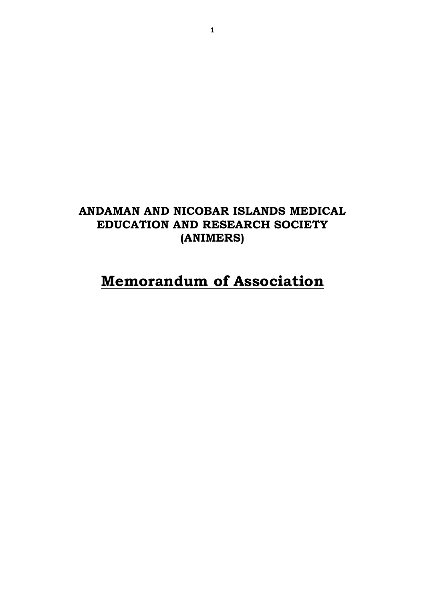# **ANDAMAN AND NICOBAR ISLANDS MEDICAL EDUCATION AND RESEARCH SOCIETY (ANIMERS)**

# **Memorandum of Association**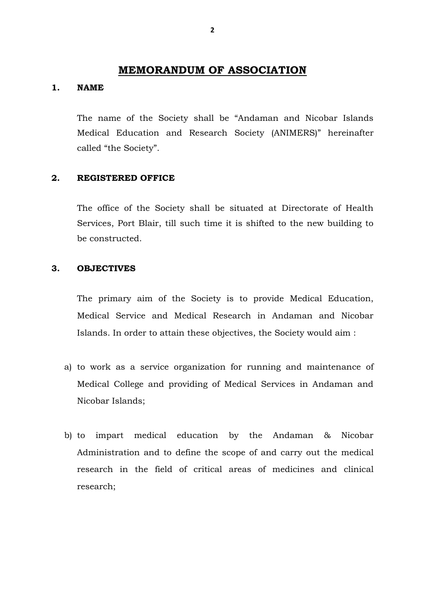# **MEMORANDUM OF ASSOCIATION**

#### **1. NAME**

The name of the Society shall be "Andaman and Nicobar Islands Medical Education and Research Society (ANIMERS)" hereinafter called "the Society".

#### **2. REGISTERED OFFICE**

The office of the Society shall be situated at Directorate of Health Services, Port Blair, till such time it is shifted to the new building to be constructed.

#### **3. OBJECTIVES**

The primary aim of the Society is to provide Medical Education, Medical Service and Medical Research in Andaman and Nicobar Islands. In order to attain these objectives, the Society would aim :

- a) to work as a service organization for running and maintenance of Medical College and providing of Medical Services in Andaman and Nicobar Islands;
- b) to impart medical education by the Andaman & Nicobar Administration and to define the scope of and carry out the medical research in the field of critical areas of medicines and clinical research;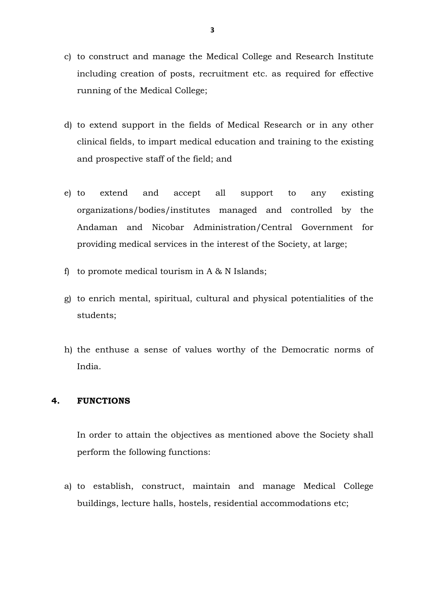- c) to construct and manage the Medical College and Research Institute including creation of posts, recruitment etc. as required for effective running of the Medical College;
- d) to extend support in the fields of Medical Research or in any other clinical fields, to impart medical education and training to the existing and prospective staff of the field; and
- e) to extend and accept all support to any existing organizations/bodies/institutes managed and controlled by the Andaman and Nicobar Administration/Central Government for providing medical services in the interest of the Society, at large;
- f) to promote medical tourism in  $A \& N$  Islands;
- g) to enrich mental, spiritual, cultural and physical potentialities of the students;
- h) the enthuse a sense of values worthy of the Democratic norms of India.

#### **4. FUNCTIONS**

In order to attain the objectives as mentioned above the Society shall perform the following functions:

a) to establish, construct, maintain and manage Medical College buildings, lecture halls, hostels, residential accommodations etc;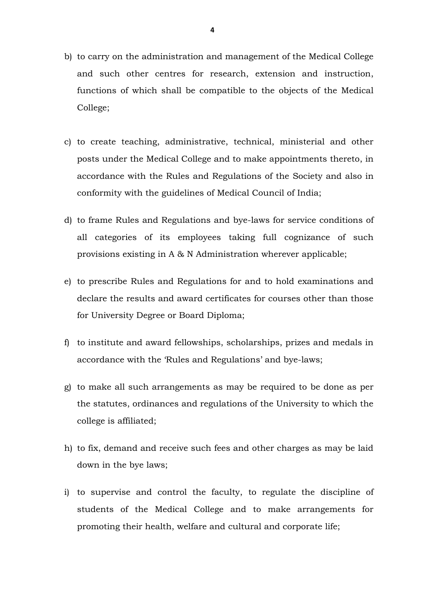- b) to carry on the administration and management of the Medical College and such other centres for research, extension and instruction, functions of which shall be compatible to the objects of the Medical College;
- c) to create teaching, administrative, technical, ministerial and other posts under the Medical College and to make appointments thereto, in accordance with the Rules and Regulations of the Society and also in conformity with the guidelines of Medical Council of India;
- d) to frame Rules and Regulations and bye-laws for service conditions of all categories of its employees taking full cognizance of such provisions existing in A & N Administration wherever applicable;
- e) to prescribe Rules and Regulations for and to hold examinations and declare the results and award certificates for courses other than those for University Degree or Board Diploma;
- f) to institute and award fellowships, scholarships, prizes and medals in accordance with the 'Rules and Regulations' and bye-laws;
- g) to make all such arrangements as may be required to be done as per the statutes, ordinances and regulations of the University to which the college is affiliated;
- h) to fix, demand and receive such fees and other charges as may be laid down in the bye laws;
- i) to supervise and control the faculty, to regulate the discipline of students of the Medical College and to make arrangements for promoting their health, welfare and cultural and corporate life;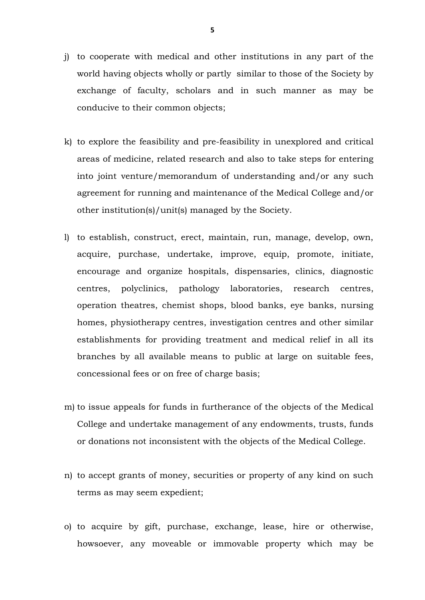- j) to cooperate with medical and other institutions in any part of the world having objects wholly or partly similar to those of the Society by exchange of faculty, scholars and in such manner as may be conducive to their common objects;
- k) to explore the feasibility and pre-feasibility in unexplored and critical areas of medicine, related research and also to take steps for entering into joint venture/memorandum of understanding and/or any such agreement for running and maintenance of the Medical College and/or other institution(s)/unit(s) managed by the Society.
- l) to establish, construct, erect, maintain, run, manage, develop, own, acquire, purchase, undertake, improve, equip, promote, initiate, encourage and organize hospitals, dispensaries, clinics, diagnostic centres, polyclinics, pathology laboratories, research centres, operation theatres, chemist shops, blood banks, eye banks, nursing homes, physiotherapy centres, investigation centres and other similar establishments for providing treatment and medical relief in all its branches by all available means to public at large on suitable fees, concessional fees or on free of charge basis;
- m) to issue appeals for funds in furtherance of the objects of the Medical College and undertake management of any endowments, trusts, funds or donations not inconsistent with the objects of the Medical College.
- n) to accept grants of money, securities or property of any kind on such terms as may seem expedient;
- o) to acquire by gift, purchase, exchange, lease, hire or otherwise, howsoever, any moveable or immovable property which may be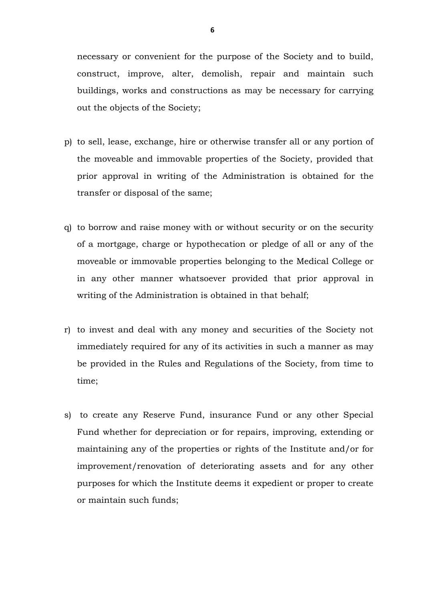necessary or convenient for the purpose of the Society and to build, construct, improve, alter, demolish, repair and maintain such buildings, works and constructions as may be necessary for carrying out the objects of the Society;

- p) to sell, lease, exchange, hire or otherwise transfer all or any portion of the moveable and immovable properties of the Society, provided that prior approval in writing of the Administration is obtained for the transfer or disposal of the same;
- q) to borrow and raise money with or without security or on the security of a mortgage, charge or hypothecation or pledge of all or any of the moveable or immovable properties belonging to the Medical College or in any other manner whatsoever provided that prior approval in writing of the Administration is obtained in that behalf;
- r) to invest and deal with any money and securities of the Society not immediately required for any of its activities in such a manner as may be provided in the Rules and Regulations of the Society, from time to time;
- s) to create any Reserve Fund, insurance Fund or any other Special Fund whether for depreciation or for repairs, improving, extending or maintaining any of the properties or rights of the Institute and/or for improvement/renovation of deteriorating assets and for any other purposes for which the Institute deems it expedient or proper to create or maintain such funds;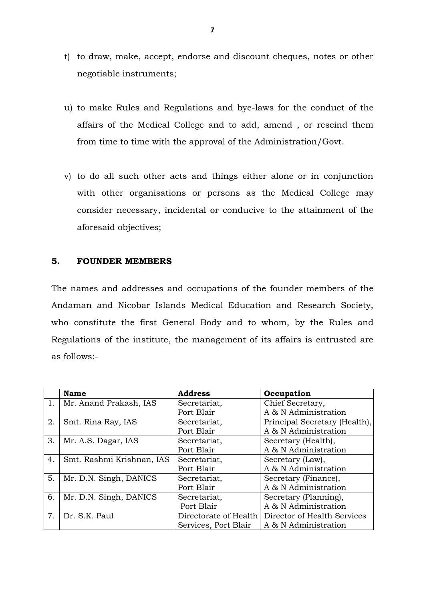- t) to draw, make, accept, endorse and discount cheques, notes or other negotiable instruments;
- u) to make Rules and Regulations and bye-laws for the conduct of the affairs of the Medical College and to add, amend , or rescind them from time to time with the approval of the Administration/Govt.
- v) to do all such other acts and things either alone or in conjunction with other organisations or persons as the Medical College may consider necessary, incidental or conducive to the attainment of the aforesaid objectives;

#### **5. FOUNDER MEMBERS**

The names and addresses and occupations of the founder members of the Andaman and Nicobar Islands Medical Education and Research Society, who constitute the first General Body and to whom, by the Rules and Regulations of the institute, the management of its affairs is entrusted are as follows:-

|    | <b>Name</b>               | <b>Address</b>        | Occupation                    |
|----|---------------------------|-----------------------|-------------------------------|
| 1. | Mr. Anand Prakash, IAS    | Secretariat,          | Chief Secretary,              |
|    |                           | Port Blair            | A & N Administration          |
| 2. | Smt. Rina Ray, IAS        | Secretariat,          | Principal Secretary (Health), |
|    |                           | Port Blair            | A & N Administration          |
| 3. | Mr. A.S. Dagar, IAS       | Secretariat,          | Secretary (Health),           |
|    |                           | Port Blair            | A & N Administration          |
| 4. | Smt. Rashmi Krishnan, IAS | Secretariat,          | Secretary (Law),              |
|    |                           | Port Blair            | A & N Administration          |
| 5. | Mr. D.N. Singh, DANICS    | Secretariat,          | Secretary (Finance),          |
|    |                           | Port Blair            | A & N Administration          |
| 6. | Mr. D.N. Singh, DANICS    | Secretariat,          | Secretary (Planning),         |
|    |                           | Port Blair            | A & N Administration          |
| 7. | Dr. S.K. Paul             | Directorate of Health | Director of Health Services   |
|    |                           | Services, Port Blair  | A & N Administration          |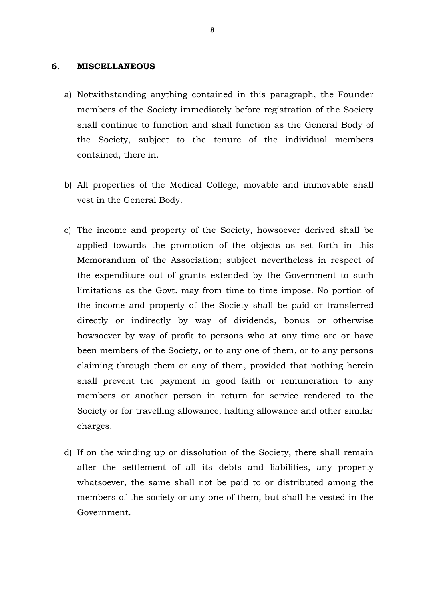#### **6. MISCELLANEOUS**

- a) Notwithstanding anything contained in this paragraph, the Founder members of the Society immediately before registration of the Society shall continue to function and shall function as the General Body of the Society, subject to the tenure of the individual members contained, there in.
- b) All properties of the Medical College, movable and immovable shall vest in the General Body.
- c) The income and property of the Society, howsoever derived shall be applied towards the promotion of the objects as set forth in this Memorandum of the Association; subject nevertheless in respect of the expenditure out of grants extended by the Government to such limitations as the Govt. may from time to time impose. No portion of the income and property of the Society shall be paid or transferred directly or indirectly by way of dividends, bonus or otherwise howsoever by way of profit to persons who at any time are or have been members of the Society, or to any one of them, or to any persons claiming through them or any of them, provided that nothing herein shall prevent the payment in good faith or remuneration to any members or another person in return for service rendered to the Society or for travelling allowance, halting allowance and other similar charges.
- d) If on the winding up or dissolution of the Society, there shall remain after the settlement of all its debts and liabilities, any property whatsoever, the same shall not be paid to or distributed among the members of the society or any one of them, but shall he vested in the Government.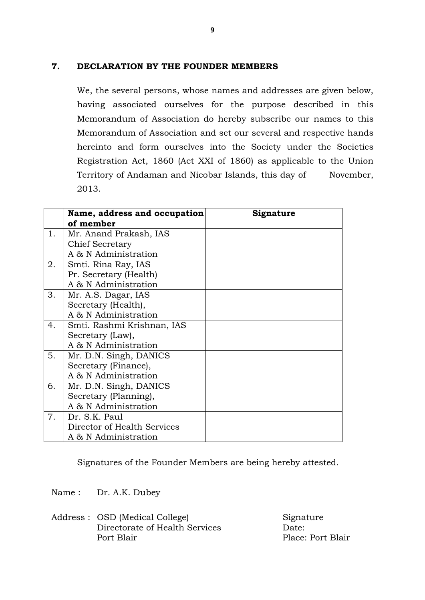# **7. DECLARATION BY THE FOUNDER MEMBERS**

We, the several persons, whose names and addresses are given below, having associated ourselves for the purpose described in this Memorandum of Association do hereby subscribe our names to this Memorandum of Association and set our several and respective hands hereinto and form ourselves into the Society under the Societies Registration Act, 1860 (Act XXI of 1860) as applicable to the Union Territory of Andaman and Nicobar Islands, this day of \_\_\_\_ November, 2013.

|    | Name, address and occupation<br>of member | Signature |
|----|-------------------------------------------|-----------|
| 1. | Mr. Anand Prakash, IAS                    |           |
|    | Chief Secretary                           |           |
|    | A & N Administration                      |           |
| 2. | Smti. Rina Ray, IAS                       |           |
|    | Pr. Secretary (Health)                    |           |
|    | A & N Administration                      |           |
| 3. | Mr. A.S. Dagar, IAS                       |           |
|    | Secretary (Health),                       |           |
|    | A & N Administration                      |           |
| 4. | Smti. Rashmi Krishnan, IAS                |           |
|    | Secretary (Law),                          |           |
|    | A & N Administration                      |           |
| 5. | Mr. D.N. Singh, DANICS                    |           |
|    | Secretary (Finance),                      |           |
|    | A & N Administration                      |           |
| 6. | Mr. D.N. Singh, DANICS                    |           |
|    | Secretary (Planning),                     |           |
|    | A & N Administration                      |           |
| 7. | Dr. S.K. Paul                             |           |
|    | Director of Health Services               |           |
|    | A & N Administration                      |           |

Signatures of the Founder Members are being hereby attested.

Name : Dr. A.K. Dubey

Address : OSD (Medical College) Signature Directorate of Health Services Date: Port Blair Place: Port Blair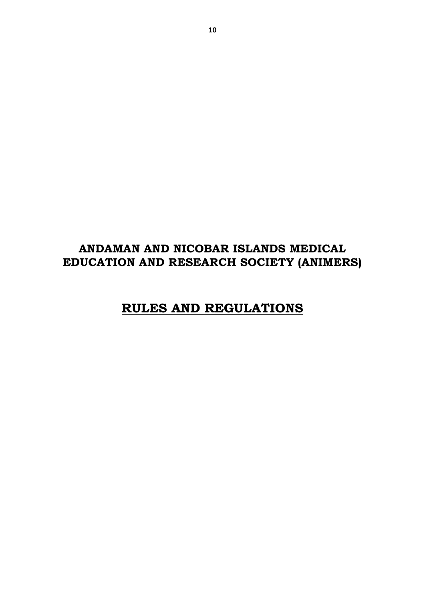# **ANDAMAN AND NICOBAR ISLANDS MEDICAL EDUCATION AND RESEARCH SOCIETY (ANIMERS)**

# **RULES AND REGULATIONS**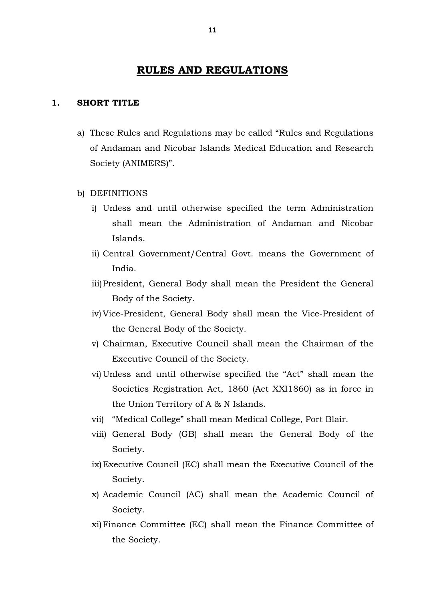# **RULES AND REGULATIONS**

#### **1. SHORT TITLE**

- a) These Rules and Regulations may be called "Rules and Regulations of Andaman and Nicobar Islands Medical Education and Research Society (ANIMERS)".
- b) DEFINITIONS
	- i) Unless and until otherwise specified the term Administration shall mean the Administration of Andaman and Nicobar Islands.
	- ii) Central Government/Central Govt. means the Government of India.
	- iii)President, General Body shall mean the President the General Body of the Society.
	- iv) Vice-President, General Body shall mean the Vice-President of the General Body of the Society.
	- v) Chairman, Executive Council shall mean the Chairman of the Executive Council of the Society.
	- vi) Unless and until otherwise specified the "Act" shall mean the Societies Registration Act, 1860 (Act XXI1860) as in force in the Union Territory of A & N Islands.
	- vii) "Medical College" shall mean Medical College, Port Blair.
	- viii) General Body (GB) shall mean the General Body of the Society.
	- ix)Executive Council (EC) shall mean the Executive Council of the Society.
	- x) Academic Council (AC) shall mean the Academic Council of Society.
	- xi)Finance Committee (EC) shall mean the Finance Committee of the Society.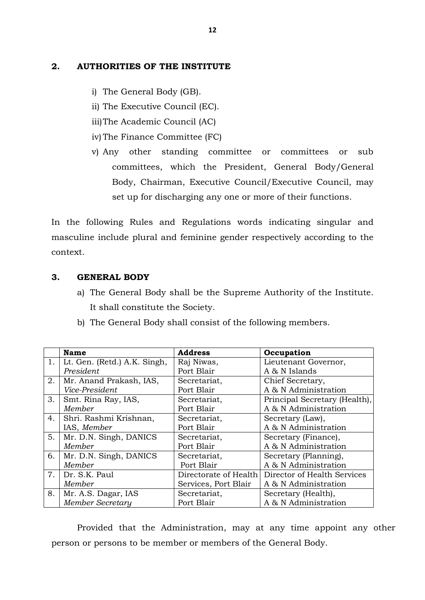# **2. AUTHORITIES OF THE INSTITUTE**

- i) The General Body (GB).
- ii) The Executive Council (EC).
- iii)The Academic Council (AC)
- iv) The Finance Committee (FC)
- v) Any other standing committee or committees or sub committees, which the President, General Body/General Body, Chairman, Executive Council/Executive Council, may set up for discharging any one or more of their functions.

In the following Rules and Regulations words indicating singular and masculine include plural and feminine gender respectively according to the context.

# **3. GENERAL BODY**

- a) The General Body shall be the Supreme Authority of the Institute. It shall constitute the Society.
- b) The General Body shall consist of the following members.

|    | <b>Name</b>                  | <b>Address</b>        | Occupation                    |
|----|------------------------------|-----------------------|-------------------------------|
| 1. | Lt. Gen. (Retd.) A.K. Singh, | Raj Niwas,            | Lieutenant Governor,          |
|    | President                    | Port Blair            | A & N Islands                 |
| 2. | Mr. Anand Prakash, IAS,      | Secretariat,          | Chief Secretary,              |
|    | Vice-President               | Port Blair            | A & N Administration          |
| 3. | Smt. Rina Ray, IAS,          | Secretariat,          | Principal Secretary (Health), |
|    | Member                       | Port Blair            | A & N Administration          |
| 4. | Shri. Rashmi Krishnan,       | Secretariat,          | Secretary (Law),              |
|    | IAS, Member                  | Port Blair            | A & N Administration          |
| 5. | Mr. D.N. Singh, DANICS       | Secretariat,          | Secretary (Finance),          |
|    | Member                       | Port Blair            | A & N Administration          |
| 6. | Mr. D.N. Singh, DANICS       | Secretariat,          | Secretary (Planning),         |
|    | Member                       | Port Blair            | A & N Administration          |
| 7. | Dr. S.K. Paul                | Directorate of Health | Director of Health Services   |
|    | Member                       | Services, Port Blair  | A & N Administration          |
| 8. | Mr. A.S. Dagar, IAS          | Secretariat,          | Secretary (Health),           |
|    | <b>Member Secretary</b>      | Port Blair            | A & N Administration          |

Provided that the Administration, may at any time appoint any other person or persons to be member or members of the General Body.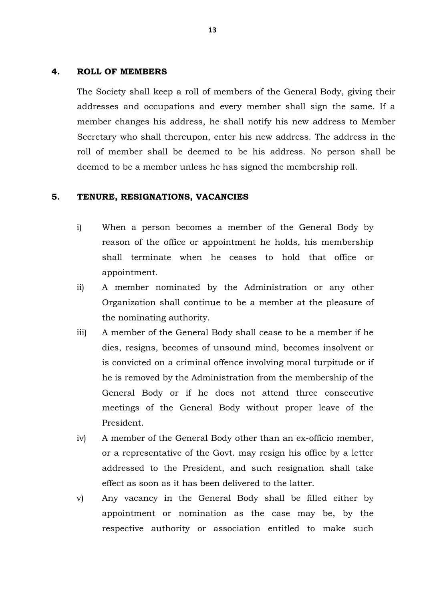#### **4. ROLL OF MEMBERS**

The Society shall keep a roll of members of the General Body, giving their addresses and occupations and every member shall sign the same. If a member changes his address, he shall notify his new address to Member Secretary who shall thereupon, enter his new address. The address in the roll of member shall be deemed to be his address. No person shall be deemed to be a member unless he has signed the membership roll.

#### **5. TENURE, RESIGNATIONS, VACANCIES**

- i) When a person becomes a member of the General Body by reason of the office or appointment he holds, his membership shall terminate when he ceases to hold that office or appointment.
- ii) A member nominated by the Administration or any other Organization shall continue to be a member at the pleasure of the nominating authority.
- iii) A member of the General Body shall cease to be a member if he dies, resigns, becomes of unsound mind, becomes insolvent or is convicted on a criminal offence involving moral turpitude or if he is removed by the Administration from the membership of the General Body or if he does not attend three consecutive meetings of the General Body without proper leave of the President.
- iv) A member of the General Body other than an ex-officio member, or a representative of the Govt. may resign his office by a letter addressed to the President, and such resignation shall take effect as soon as it has been delivered to the latter.
- v) Any vacancy in the General Body shall be filled either by appointment or nomination as the case may be, by the respective authority or association entitled to make such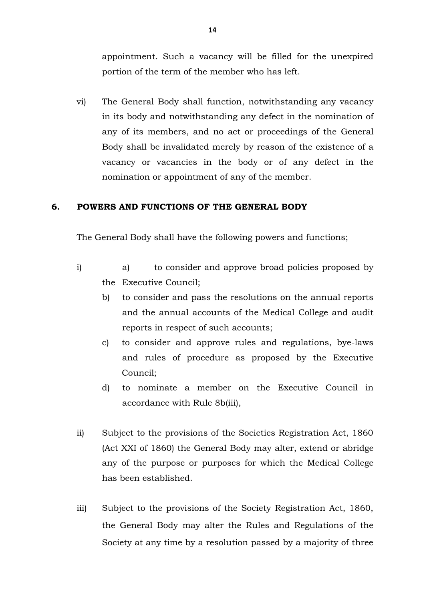appointment. Such a vacancy will be filled for the unexpired portion of the term of the member who has left.

vi) The General Body shall function, notwithstanding any vacancy in its body and notwithstanding any defect in the nomination of any of its members, and no act or proceedings of the General Body shall be invalidated merely by reason of the existence of a vacancy or vacancies in the body or of any defect in the nomination or appointment of any of the member.

#### **6. POWERS AND FUNCTIONS OF THE GENERAL BODY**

The General Body shall have the following powers and functions;

- i) a) to consider and approve broad policies proposed by the Executive Council;
	- b) to consider and pass the resolutions on the annual reports and the annual accounts of the Medical College and audit reports in respect of such accounts;
	- c) to consider and approve rules and regulations, bye-laws and rules of procedure as proposed by the Executive Council;
	- d) to nominate a member on the Executive Council in accordance with Rule 8b(iii),
- ii) Subject to the provisions of the Societies Registration Act, 1860 (Act XXI of 1860) the General Body may alter, extend or abridge any of the purpose or purposes for which the Medical College has been established.
- iii) Subject to the provisions of the Society Registration Act, 1860, the General Body may alter the Rules and Regulations of the Society at any time by a resolution passed by a majority of three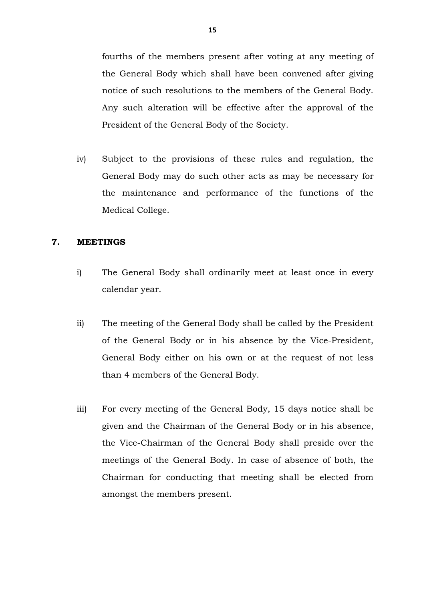fourths of the members present after voting at any meeting of the General Body which shall have been convened after giving notice of such resolutions to the members of the General Body. Any such alteration will be effective after the approval of the President of the General Body of the Society.

iv) Subject to the provisions of these rules and regulation, the General Body may do such other acts as may be necessary for the maintenance and performance of the functions of the Medical College.

#### **7. MEETINGS**

- i) The General Body shall ordinarily meet at least once in every calendar year.
- ii) The meeting of the General Body shall be called by the President of the General Body or in his absence by the Vice-President, General Body either on his own or at the request of not less than 4 members of the General Body.
- iii) For every meeting of the General Body, 15 days notice shall be given and the Chairman of the General Body or in his absence, the Vice-Chairman of the General Body shall preside over the meetings of the General Body. In case of absence of both, the Chairman for conducting that meeting shall be elected from amongst the members present.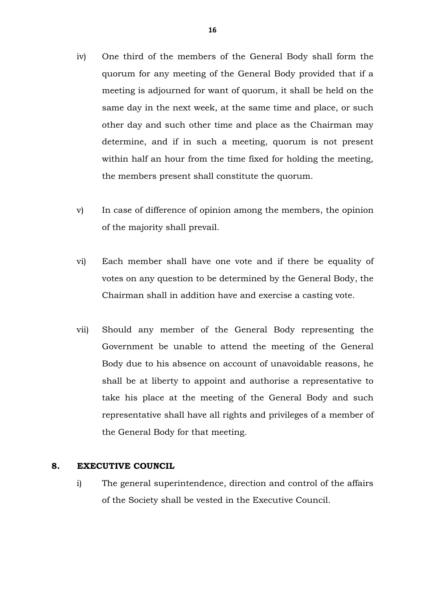- iv) One third of the members of the General Body shall form the quorum for any meeting of the General Body provided that if a meeting is adjourned for want of quorum, it shall be held on the same day in the next week, at the same time and place, or such other day and such other time and place as the Chairman may determine, and if in such a meeting, quorum is not present within half an hour from the time fixed for holding the meeting, the members present shall constitute the quorum.
- v) In case of difference of opinion among the members, the opinion of the majority shall prevail.
- vi) Each member shall have one vote and if there be equality of votes on any question to be determined by the General Body, the Chairman shall in addition have and exercise a casting vote.
- vii) Should any member of the General Body representing the Government be unable to attend the meeting of the General Body due to his absence on account of unavoidable reasons, he shall be at liberty to appoint and authorise a representative to take his place at the meeting of the General Body and such representative shall have all rights and privileges of a member of the General Body for that meeting.

#### **8. EXECUTIVE COUNCIL**

i) The general superintendence, direction and control of the affairs of the Society shall be vested in the Executive Council.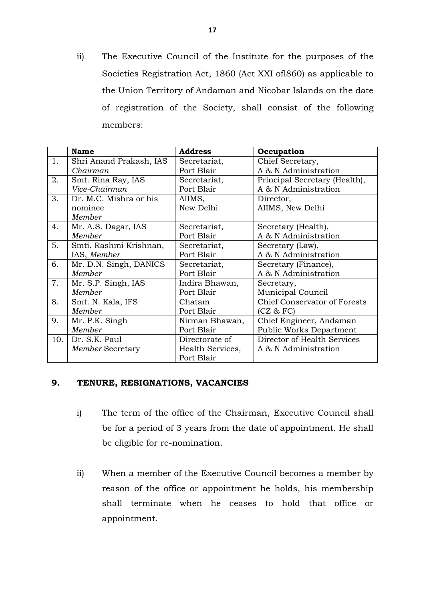ii) The Executive Council of the Institute for the purposes of the Societies Registration Act, 1860 (Act XXI ofl860) as applicable to the Union Territory of Andaman and Nicobar Islands on the date of registration of the Society, shall consist of the following members:

|     | <b>Name</b>             | <b>Address</b>   | Occupation                          |
|-----|-------------------------|------------------|-------------------------------------|
| 1.  | Shri Anand Prakash, IAS | Secretariat,     | Chief Secretary,                    |
|     | Chairman                | Port Blair       | A & N Administration                |
| 2.  | Smt. Rina Ray, IAS      | Secretariat,     | Principal Secretary (Health),       |
|     | Vice-Chairman           | Port Blair       | A & N Administration                |
| 3.  | Dr. M.C. Mishra or his  | AIIMS,           | Director,                           |
|     | nominee                 | New Delhi        | AIIMS, New Delhi                    |
|     | Member                  |                  |                                     |
| 4.  | Mr. A.S. Dagar, IAS     | Secretariat,     | Secretary (Health),                 |
|     | Member                  | Port Blair       | A & N Administration                |
| 5.  | Smti. Rashmi Krishnan,  | Secretariat,     | Secretary (Law),                    |
|     | IAS, Member             | Port Blair       | A & N Administration                |
| 6.  | Mr. D.N. Singh, DANICS  | Secretariat,     | Secretary (Finance),                |
|     | Member                  | Port Blair       | A & N Administration                |
| 7.  | Mr. S.P. Singh, IAS     | Indira Bhawan,   | Secretary,                          |
|     | Member                  | Port Blair       | Municipal Council                   |
| 8.  | Smt. N. Kala, IFS       | Chatam           | <b>Chief Conservator of Forests</b> |
|     | Member                  | Port Blair       | (CZ & FC)                           |
| 9.  | Mr. P.K. Singh          | Nirman Bhawan,   | Chief Engineer, Andaman             |
|     | Member                  | Port Blair       | Public Works Department             |
| 10. | Dr. S.K. Paul           | Directorate of   | Director of Health Services         |
|     | Member Secretary        | Health Services, | A & N Administration                |
|     |                         | Port Blair       |                                     |

#### **9. TENURE, RESIGNATIONS, VACANCIES**

- i) The term of the office of the Chairman, Executive Council shall be for a period of 3 years from the date of appointment. He shall be eligible for re-nomination.
- ii) When a member of the Executive Council becomes a member by reason of the office or appointment he holds, his membership shall terminate when he ceases to hold that office or appointment.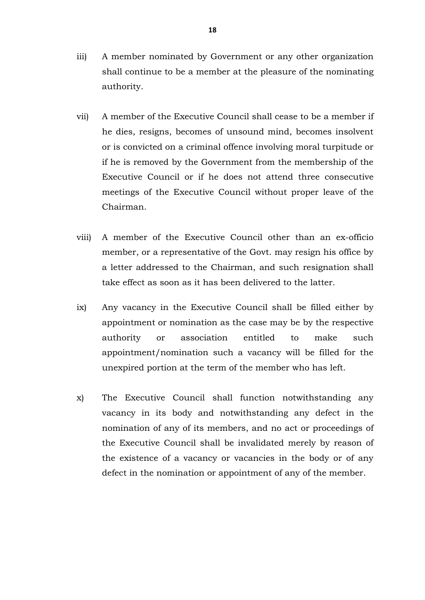- iii) A member nominated by Government or any other organization shall continue to be a member at the pleasure of the nominating authority.
- vii) A member of the Executive Council shall cease to be a member if he dies, resigns, becomes of unsound mind, becomes insolvent or is convicted on a criminal offence involving moral turpitude or if he is removed by the Government from the membership of the Executive Council or if he does not attend three consecutive meetings of the Executive Council without proper leave of the Chairman.
- viii) A member of the Executive Council other than an ex-officio member, or a representative of the Govt. may resign his office by a letter addressed to the Chairman, and such resignation shall take effect as soon as it has been delivered to the latter.
- ix) Any vacancy in the Executive Council shall be filled either by appointment or nomination as the case may be by the respective authority or association entitled to make such appointment/nomination such a vacancy will be filled for the unexpired portion at the term of the member who has left.
- x) The Executive Council shall function notwithstanding any vacancy in its body and notwithstanding any defect in the nomination of any of its members, and no act or proceedings of the Executive Council shall be invalidated merely by reason of the existence of a vacancy or vacancies in the body or of any defect in the nomination or appointment of any of the member.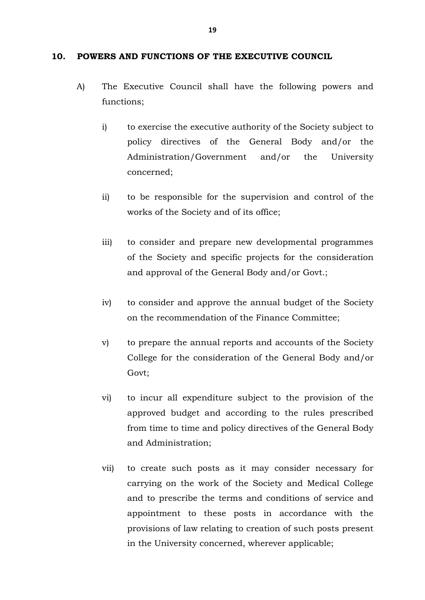#### **10. POWERS AND FUNCTIONS OF THE EXECUTIVE COUNCIL**

- A) The Executive Council shall have the following powers and functions;
	- i) to exercise the executive authority of the Society subject to policy directives of the General Body and/or the Administration/Government and/or the University concerned;
	- ii) to be responsible for the supervision and control of the works of the Society and of its office;
	- iii) to consider and prepare new developmental programmes of the Society and specific projects for the consideration and approval of the General Body and/or Govt.;
	- iv) to consider and approve the annual budget of the Society on the recommendation of the Finance Committee;
	- v) to prepare the annual reports and accounts of the Society College for the consideration of the General Body and/or Govt;
	- vi) to incur all expenditure subject to the provision of the approved budget and according to the rules prescribed from time to time and policy directives of the General Body and Administration;
	- vii) to create such posts as it may consider necessary for carrying on the work of the Society and Medical College and to prescribe the terms and conditions of service and appointment to these posts in accordance with the provisions of law relating to creation of such posts present in the University concerned, wherever applicable;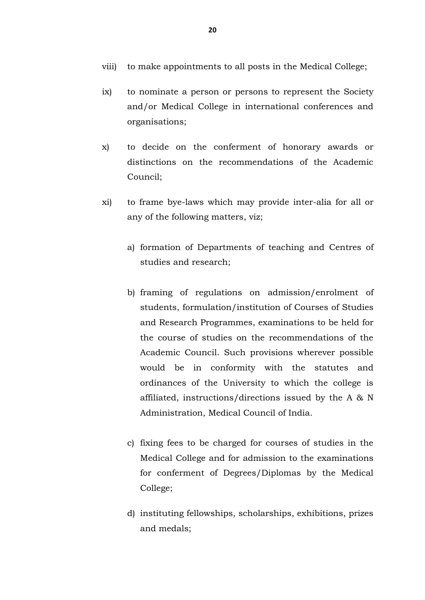- viii) to make appointments to all posts in the Medical College;
- ix) to nominate a person or persons to represent the Society and/or Medical College in international conferences and organisations;
- x) to decide on the conferment of honorary awards or distinctions on the recommendations of the Academic Council;
- xi) to frame bye-laws which may provide inter-alia for all or any of the following matters, viz;
	- a) formation of Departments of teaching and Centres of studies and research;
	- b) framing of regulations on admission/enrolment of students, formulation/institution of Courses of Studies and Research Programmes, examinations to be held for the course of studies on the recommendations of the Academic Council. Such provisions wherever possible would be in conformity with the statutes and ordinances of the University to which the college is affiliated, instructions/directions issued by the A & N Administration, Medical Council of India.
	- c) fixing fees to be charged for courses of studies in the Medical College and for admission to the examinations for conferment of Degrees/Diplomas by the Medical College;
	- d) instituting fellowships, scholarships, exhibitions, prizes and medals;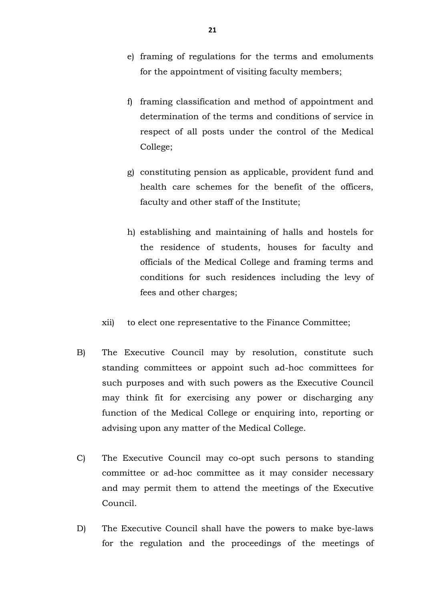- e) framing of regulations for the terms and emoluments for the appointment of visiting faculty members;
- f) framing classification and method of appointment and determination of the terms and conditions of service in respect of all posts under the control of the Medical College;
- g) constituting pension as applicable, provident fund and health care schemes for the benefit of the officers, faculty and other staff of the Institute;
- h) establishing and maintaining of halls and hostels for the residence of students, houses for faculty and officials of the Medical College and framing terms and conditions for such residences including the levy of fees and other charges;
- xii) to elect one representative to the Finance Committee;
- B) The Executive Council may by resolution, constitute such standing committees or appoint such ad-hoc committees for such purposes and with such powers as the Executive Council may think fit for exercising any power or discharging any function of the Medical College or enquiring into, reporting or advising upon any matter of the Medical College.
- C) The Executive Council may co-opt such persons to standing committee or ad-hoc committee as it may consider necessary and may permit them to attend the meetings of the Executive Council.
- D) The Executive Council shall have the powers to make bye-laws for the regulation and the proceedings of the meetings of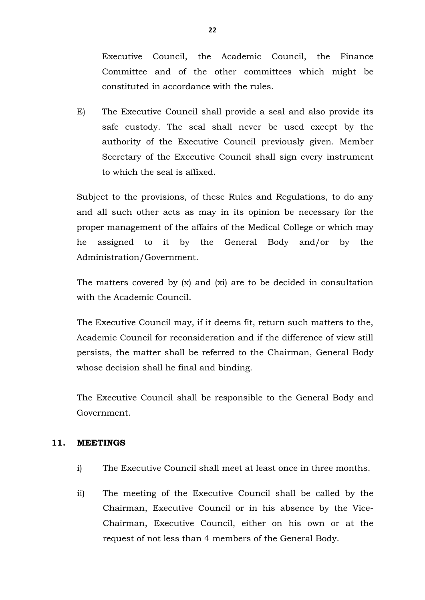Executive Council, the Academic Council, the Finance Committee and of the other committees which might be constituted in accordance with the rules.

E) The Executive Council shall provide a seal and also provide its safe custody. The seal shall never be used except by the authority of the Executive Council previously given. Member Secretary of the Executive Council shall sign every instrument to which the seal is affixed.

Subject to the provisions, of these Rules and Regulations, to do any and all such other acts as may in its opinion be necessary for the proper management of the affairs of the Medical College or which may he assigned to it by the General Body and/or by the Administration/Government.

The matters covered by (x) and (xi) are to be decided in consultation with the Academic Council.

The Executive Council may, if it deems fit, return such matters to the, Academic Council for reconsideration and if the difference of view still persists, the matter shall be referred to the Chairman, General Body whose decision shall he final and binding.

The Executive Council shall be responsible to the General Body and Government.

#### **11. MEETINGS**

- i) The Executive Council shall meet at least once in three months.
- ii) The meeting of the Executive Council shall be called by the Chairman, Executive Council or in his absence by the Vice-Chairman, Executive Council, either on his own or at the request of not less than 4 members of the General Body.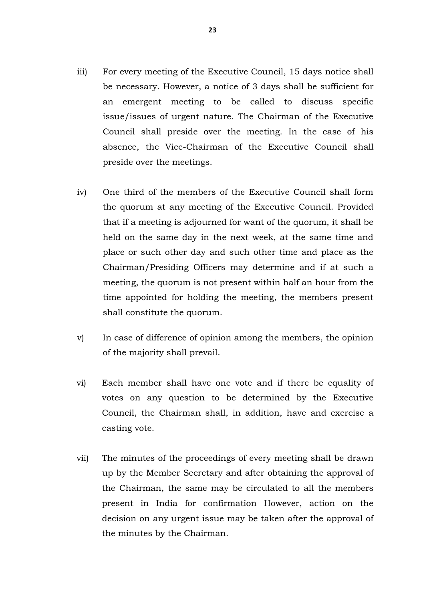- iii) For every meeting of the Executive Council, 15 days notice shall be necessary. However, a notice of 3 days shall be sufficient for an emergent meeting to be called to discuss specific issue/issues of urgent nature. The Chairman of the Executive Council shall preside over the meeting. In the case of his absence, the Vice-Chairman of the Executive Council shall preside over the meetings.
- iv) One third of the members of the Executive Council shall form the quorum at any meeting of the Executive Council. Provided that if a meeting is adjourned for want of the quorum, it shall be held on the same day in the next week, at the same time and place or such other day and such other time and place as the Chairman/Presiding Officers may determine and if at such a meeting, the quorum is not present within half an hour from the time appointed for holding the meeting, the members present shall constitute the quorum.
- v) In case of difference of opinion among the members, the opinion of the majority shall prevail.
- vi) Each member shall have one vote and if there be equality of votes on any question to be determined by the Executive Council, the Chairman shall, in addition, have and exercise a casting vote.
- vii) The minutes of the proceedings of every meeting shall be drawn up by the Member Secretary and after obtaining the approval of the Chairman, the same may be circulated to all the members present in India for confirmation However, action on the decision on any urgent issue may be taken after the approval of the minutes by the Chairman.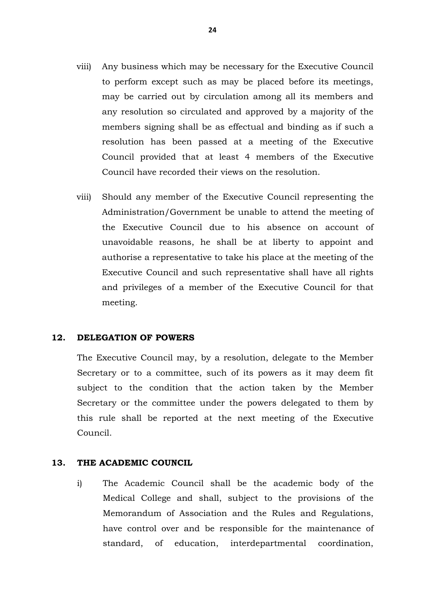- viii) Any business which may be necessary for the Executive Council to perform except such as may be placed before its meetings, may be carried out by circulation among all its members and any resolution so circulated and approved by a majority of the members signing shall be as effectual and binding as if such a resolution has been passed at a meeting of the Executive Council provided that at least 4 members of the Executive Council have recorded their views on the resolution.
- viii) Should any member of the Executive Council representing the Administration/Government be unable to attend the meeting of the Executive Council due to his absence on account of unavoidable reasons, he shall be at liberty to appoint and authorise a representative to take his place at the meeting of the Executive Council and such representative shall have all rights and privileges of a member of the Executive Council for that meeting.

#### **12. DELEGATION OF POWERS**

The Executive Council may, by a resolution, delegate to the Member Secretary or to a committee, such of its powers as it may deem fit subject to the condition that the action taken by the Member Secretary or the committee under the powers delegated to them by this rule shall be reported at the next meeting of the Executive Council.

#### **13. THE ACADEMIC COUNCIL**

i) The Academic Council shall be the academic body of the Medical College and shall, subject to the provisions of the Memorandum of Association and the Rules and Regulations, have control over and be responsible for the maintenance of standard, of education, interdepartmental coordination,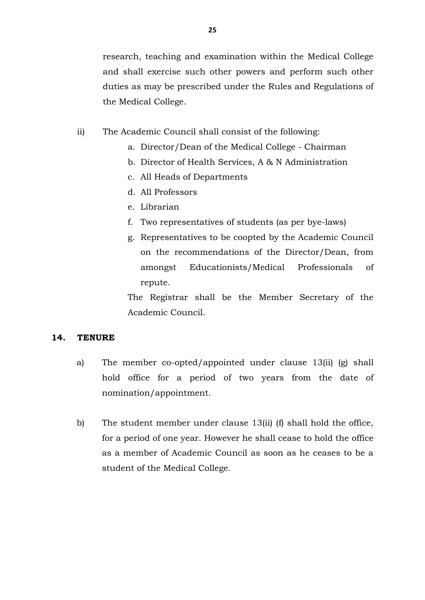research, teaching and examination within the Medical College and shall exercise such other powers and perform such other duties as may be prescribed under the Rules and Regulations of the Medical College.

- ii) The Academic Council shall consist of the following:
	- a. Director/Dean of the Medical College Chairman
	- b. Director of Health Services, A & N Administration
	- c. All Heads of Departments
	- d. All Professors
	- e. Librarian
	- f. Two representatives of students (as per bye-laws)
	- g. Representatives to be coopted by the Academic Council on the recommendations of the Director/Dean, from amongst Educationists/Medical Professionals of repute.

The Registrar shall be the Member Secretary of the Academic Council.

# **14. TENURE**

- a) The member co-opted/appointed under clause 13(ii) (g) shall hold office for a period of two years from the date of nomination/appointment.
- b) The student member under clause 13(ii) (f) shall hold the office, for a period of one year. However he shall cease to hold the office as a member of Academic Council as soon as he ceases to be a student of the Medical College.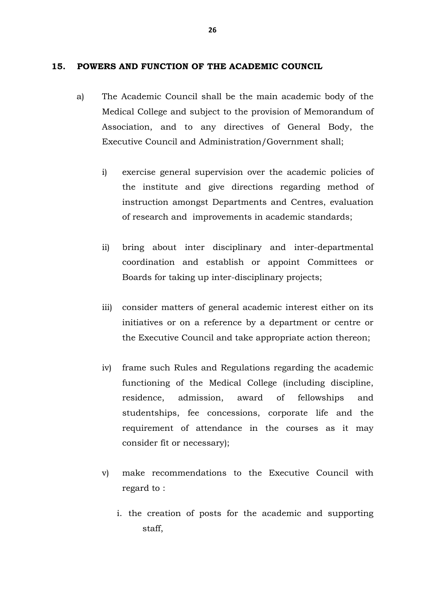#### **15. POWERS AND FUNCTION OF THE ACADEMIC COUNCIL**

- a) The Academic Council shall be the main academic body of the Medical College and subject to the provision of Memorandum of Association, and to any directives of General Body, the Executive Council and Administration/Government shall;
	- i) exercise general supervision over the academic policies of the institute and give directions regarding method of instruction amongst Departments and Centres, evaluation of research and improvements in academic standards;
	- ii) bring about inter disciplinary and inter-departmental coordination and establish or appoint Committees or Boards for taking up inter-disciplinary projects;
	- iii) consider matters of general academic interest either on its initiatives or on a reference by a department or centre or the Executive Council and take appropriate action thereon;
	- iv) frame such Rules and Regulations regarding the academic functioning of the Medical College (including discipline, residence, admission, award of fellowships and studentships, fee concessions, corporate life and the requirement of attendance in the courses as it may consider fit or necessary);
	- v) make recommendations to the Executive Council with regard to :
		- i. the creation of posts for the academic and supporting staff,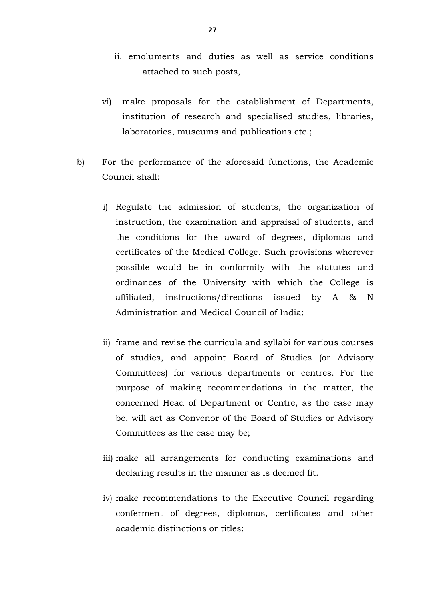- ii. emoluments and duties as well as service conditions attached to such posts,
- vi) make proposals for the establishment of Departments, institution of research and specialised studies, libraries, laboratories, museums and publications etc.;
- b) For the performance of the aforesaid functions, the Academic Council shall:
	- i) Regulate the admission of students, the organization of instruction, the examination and appraisal of students, and the conditions for the award of degrees, diplomas and certificates of the Medical College. Such provisions wherever possible would be in conformity with the statutes and ordinances of the University with which the College is affiliated, instructions/directions issued by A & N Administration and Medical Council of India;
	- ii) frame and revise the curricula and syllabi for various courses of studies, and appoint Board of Studies (or Advisory Committees) for various departments or centres. For the purpose of making recommendations in the matter, the concerned Head of Department or Centre, as the case may be, will act as Convenor of the Board of Studies or Advisory Committees as the case may be;
	- iii) make all arrangements for conducting examinations and declaring results in the manner as is deemed fit.
	- iv) make recommendations to the Executive Council regarding conferment of degrees, diplomas, certificates and other academic distinctions or titles;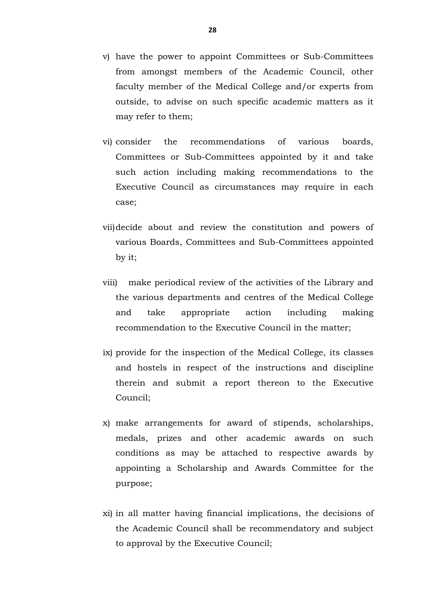- v) have the power to appoint Committees or Sub-Committees from amongst members of the Academic Council, other faculty member of the Medical College and/or experts from outside, to advise on such specific academic matters as it may refer to them;
- vi) consider the recommendations of various boards, Committees or Sub-Committees appointed by it and take such action including making recommendations to the Executive Council as circumstances may require in each case;
- vii)decide about and review the constitution and powers of various Boards, Committees and Sub-Committees appointed by it;
- viii) make periodical review of the activities of the Library and the various departments and centres of the Medical College and take appropriate action including making recommendation to the Executive Council in the matter;
- ix) provide for the inspection of the Medical College, its classes and hostels in respect of the instructions and discipline therein and submit a report thereon to the Executive Council;
- x) make arrangements for award of stipends, scholarships, medals, prizes and other academic awards on such conditions as may be attached to respective awards by appointing a Scholarship and Awards Committee for the purpose;
- xi) in all matter having financial implications, the decisions of the Academic Council shall be recommendatory and subject to approval by the Executive Council;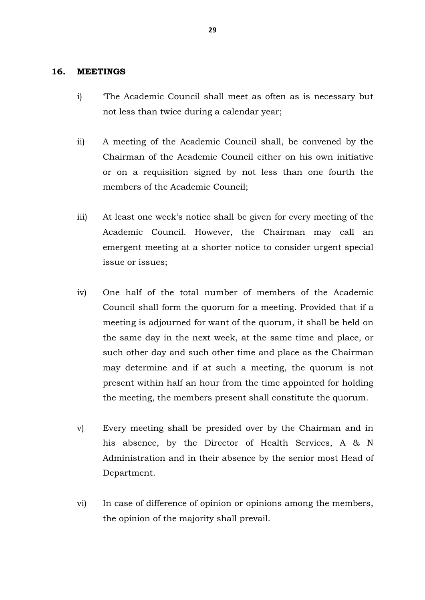#### **16. MEETINGS**

- i) 'The Academic Council shall meet as often as is necessary but not less than twice during a calendar year;
- ii) A meeting of the Academic Council shall, be convened by the Chairman of the Academic Council either on his own initiative or on a requisition signed by not less than one fourth the members of the Academic Council;
- iii) At least one week's notice shall be given for every meeting of the Academic Council. However, the Chairman may call an emergent meeting at a shorter notice to consider urgent special issue or issues;
- iv) One half of the total number of members of the Academic Council shall form the quorum for a meeting. Provided that if a meeting is adjourned for want of the quorum, it shall be held on the same day in the next week, at the same time and place, or such other day and such other time and place as the Chairman may determine and if at such a meeting, the quorum is not present within half an hour from the time appointed for holding the meeting, the members present shall constitute the quorum.
- v) Every meeting shall be presided over by the Chairman and in his absence, by the Director of Health Services, A & N Administration and in their absence by the senior most Head of Department.
- vi) In case of difference of opinion or opinions among the members, the opinion of the majority shall prevail.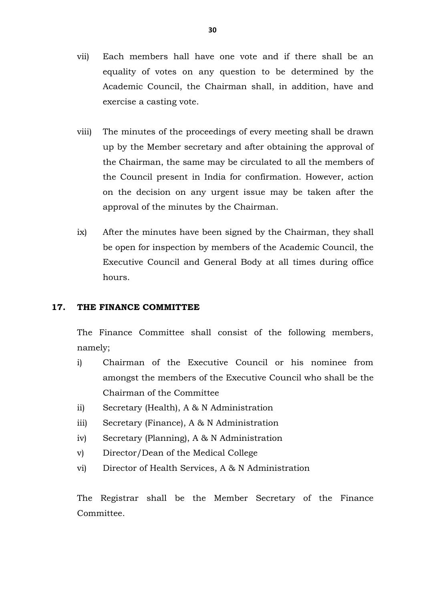- vii) Each members hall have one vote and if there shall be an equality of votes on any question to be determined by the Academic Council, the Chairman shall, in addition, have and exercise a casting vote.
- viii) The minutes of the proceedings of every meeting shall be drawn up by the Member secretary and after obtaining the approval of the Chairman, the same may be circulated to all the members of the Council present in India for confirmation. However, action on the decision on any urgent issue may be taken after the approval of the minutes by the Chairman.
- ix) After the minutes have been signed by the Chairman, they shall be open for inspection by members of the Academic Council, the Executive Council and General Body at all times during office hours.

#### **17. THE FINANCE COMMITTEE**

The Finance Committee shall consist of the following members, namely;

- i) Chairman of the Executive Council or his nominee from amongst the members of the Executive Council who shall be the Chairman of the Committee
- ii) Secretary (Health), A & N Administration
- iii) Secretary (Finance), A & N Administration
- iv) Secretary (Planning), A & N Administration
- v) Director/Dean of the Medical College
- vi) Director of Health Services, A & N Administration

The Registrar shall be the Member Secretary of the Finance Committee.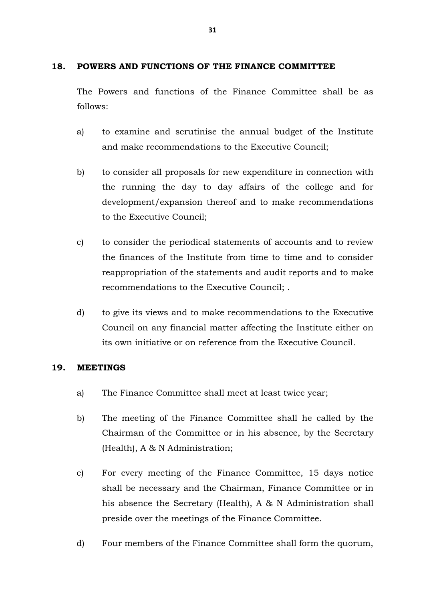# **18. POWERS AND FUNCTIONS OF THE FINANCE COMMITTEE**

The Powers and functions of the Finance Committee shall be as follows:

- a) to examine and scrutinise the annual budget of the Institute and make recommendations to the Executive Council;
- b) to consider all proposals for new expenditure in connection with the running the day to day affairs of the college and for development/expansion thereof and to make recommendations to the Executive Council;
- c) to consider the periodical statements of accounts and to review the finances of the Institute from time to time and to consider reappropriation of the statements and audit reports and to make recommendations to the Executive Council; .
- d) to give its views and to make recommendations to the Executive Council on any financial matter affecting the Institute either on its own initiative or on reference from the Executive Council.

# **19. MEETINGS**

- a) The Finance Committee shall meet at least twice year;
- b) The meeting of the Finance Committee shall he called by the Chairman of the Committee or in his absence, by the Secretary (Health), A & N Administration;
- c) For every meeting of the Finance Committee, 15 days notice shall be necessary and the Chairman, Finance Committee or in his absence the Secretary (Health), A & N Administration shall preside over the meetings of the Finance Committee.
- d) Four members of the Finance Committee shall form the quorum,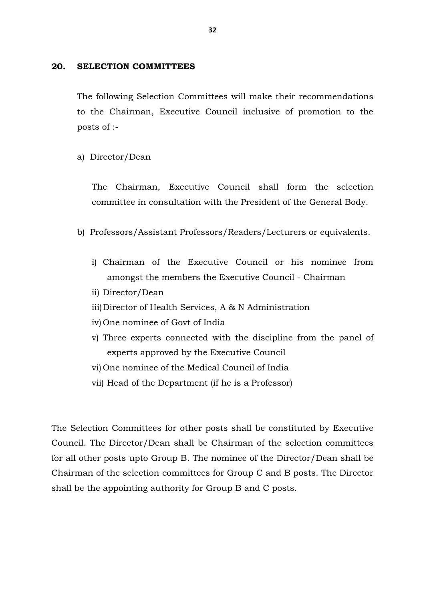#### **20. SELECTION COMMITTEES**

The following Selection Committees will make their recommendations to the Chairman, Executive Council inclusive of promotion to the posts of :-

a) Director/Dean

The Chairman, Executive Council shall form the selection committee in consultation with the President of the General Body.

- b) Professors/Assistant Professors/Readers/Lecturers or equivalents.
	- i) Chairman of the Executive Council or his nominee from amongst the members the Executive Council - Chairman
	- ii) Director/Dean
	- iii)Director of Health Services, A & N Administration
	- iv) One nominee of Govt of India
	- v) Three experts connected with the discipline from the panel of experts approved by the Executive Council
	- vi) One nominee of the Medical Council of India
	- vii) Head of the Department (if he is a Professor)

The Selection Committees for other posts shall be constituted by Executive Council. The Director/Dean shall be Chairman of the selection committees for all other posts upto Group B. The nominee of the Director/Dean shall be Chairman of the selection committees for Group C and B posts. The Director shall be the appointing authority for Group B and C posts.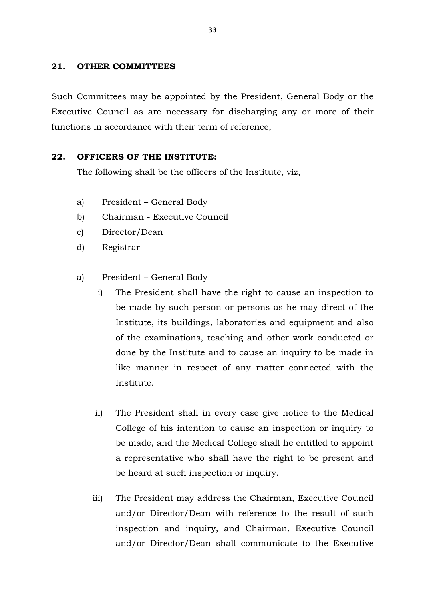#### **21. OTHER COMMITTEES**

Such Committees may be appointed by the President, General Body or the Executive Council as are necessary for discharging any or more of their functions in accordance with their term of reference,

#### **22. OFFICERS OF THE INSTITUTE:**

The following shall be the officers of the Institute, viz,

- a) President General Body
- b) Chairman Executive Council
- c) Director/Dean
- d) Registrar
- a) President General Body
	- i) The President shall have the right to cause an inspection to be made by such person or persons as he may direct of the Institute, its buildings, laboratories and equipment and also of the examinations, teaching and other work conducted or done by the Institute and to cause an inquiry to be made in like manner in respect of any matter connected with the Institute.
	- ii) The President shall in every case give notice to the Medical College of his intention to cause an inspection or inquiry to be made, and the Medical College shall he entitled to appoint a representative who shall have the right to be present and be heard at such inspection or inquiry.
	- iii) The President may address the Chairman, Executive Council and/or Director/Dean with reference to the result of such inspection and inquiry, and Chairman, Executive Council and/or Director/Dean shall communicate to the Executive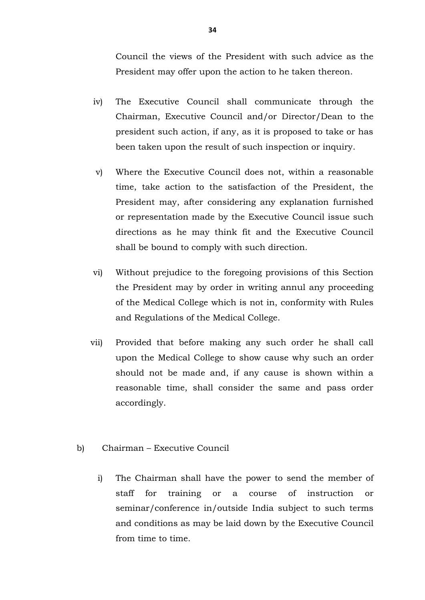Council the views of the President with such advice as the President may offer upon the action to he taken thereon.

- iv) The Executive Council shall communicate through the Chairman, Executive Council and/or Director/Dean to the president such action, if any, as it is proposed to take or has been taken upon the result of such inspection or inquiry.
- v) Where the Executive Council does not, within a reasonable time, take action to the satisfaction of the President, the President may, after considering any explanation furnished or representation made by the Executive Council issue such directions as he may think fit and the Executive Council shall be bound to comply with such direction.
- vi) Without prejudice to the foregoing provisions of this Section the President may by order in writing annul any proceeding of the Medical College which is not in, conformity with Rules and Regulations of the Medical College.
- vii) Provided that before making any such order he shall call upon the Medical College to show cause why such an order should not be made and, if any cause is shown within a reasonable time, shall consider the same and pass order accordingly.
- b) Chairman Executive Council
	- i) The Chairman shall have the power to send the member of staff for training or a course of instruction or seminar/conference in/outside India subject to such terms and conditions as may be laid down by the Executive Council from time to time.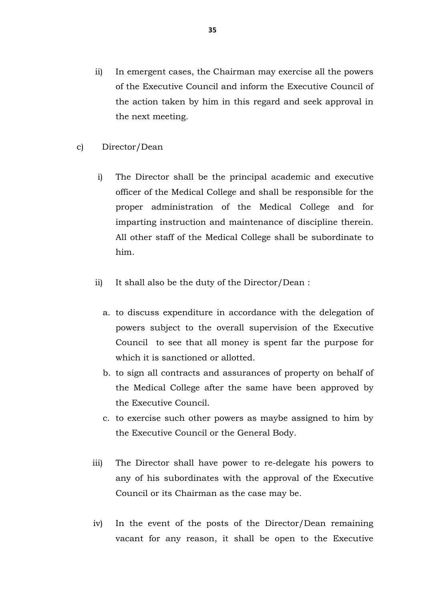- ii) In emergent cases, the Chairman may exercise all the powers of the Executive Council and inform the Executive Council of the action taken by him in this regard and seek approval in the next meeting.
- c) Director/Dean
	- i) The Director shall be the principal academic and executive officer of the Medical College and shall be responsible for the proper administration of the Medical College and for imparting instruction and maintenance of discipline therein. All other staff of the Medical College shall be subordinate to him.
	- ii) It shall also be the duty of the Director/Dean :
		- a. to discuss expenditure in accordance with the delegation of powers subject to the overall supervision of the Executive Council to see that all money is spent far the purpose for which it is sanctioned or allotted.
		- b. to sign all contracts and assurances of property on behalf of the Medical College after the same have been approved by the Executive Council.
		- c. to exercise such other powers as maybe assigned to him by the Executive Council or the General Body.
	- iii) The Director shall have power to re-delegate his powers to any of his subordinates with the approval of the Executive Council or its Chairman as the case may be.
	- iv) In the event of the posts of the Director/Dean remaining vacant for any reason, it shall be open to the Executive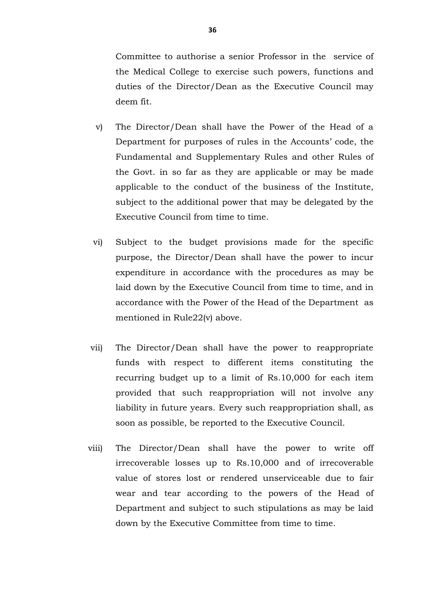Committee to authorise a senior Professor in the service of the Medical College to exercise such powers, functions and duties of the Director/Dean as the Executive Council may deem fit.

- v) The Director/Dean shall have the Power of the Head of a Department for purposes of rules in the Accounts' code, the Fundamental and Supplementary Rules and other Rules of the Govt. in so far as they are applicable or may be made applicable to the conduct of the business of the Institute, subject to the additional power that may be delegated by the Executive Council from time to time.
- vi) Subject to the budget provisions made for the specific purpose, the Director/Dean shall have the power to incur expenditure in accordance with the procedures as may be laid down by the Executive Council from time to time, and in accordance with the Power of the Head of the Department as mentioned in Rule22(v) above.
- vii) The Director/Dean shall have the power to reappropriate funds with respect to different items constituting the recurring budget up to a limit of Rs.10,000 for each item provided that such reappropriation will not involve any liability in future years. Every such reappropriation shall, as soon as possible, be reported to the Executive Council.
- viii) The Director/Dean shall have the power to write off irrecoverable losses up to Rs.10,000 and of irrecoverable value of stores lost or rendered unserviceable due to fair wear and tear according to the powers of the Head of Department and subject to such stipulations as may be laid down by the Executive Committee from time to time.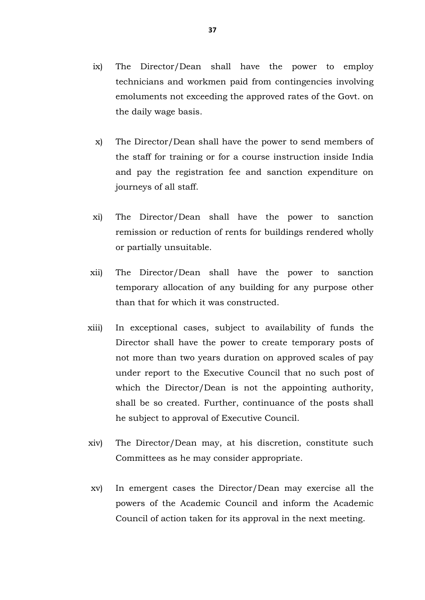- ix) The Director/Dean shall have the power to employ technicians and workmen paid from contingencies involving emoluments not exceeding the approved rates of the Govt. on the daily wage basis.
- x) The Director/Dean shall have the power to send members of the staff for training or for a course instruction inside India and pay the registration fee and sanction expenditure on journeys of all staff.
- xi) The Director/Dean shall have the power to sanction remission or reduction of rents for buildings rendered wholly or partially unsuitable.
- xii) The Director/Dean shall have the power to sanction temporary allocation of any building for any purpose other than that for which it was constructed.
- xiii) In exceptional cases, subject to availability of funds the Director shall have the power to create temporary posts of not more than two years duration on approved scales of pay under report to the Executive Council that no such post of which the Director/Dean is not the appointing authority, shall be so created. Further, continuance of the posts shall he subject to approval of Executive Council.
- xiv) The Director/Dean may, at his discretion, constitute such Committees as he may consider appropriate.
- xv) In emergent cases the Director/Dean may exercise all the powers of the Academic Council and inform the Academic Council of action taken for its approval in the next meeting.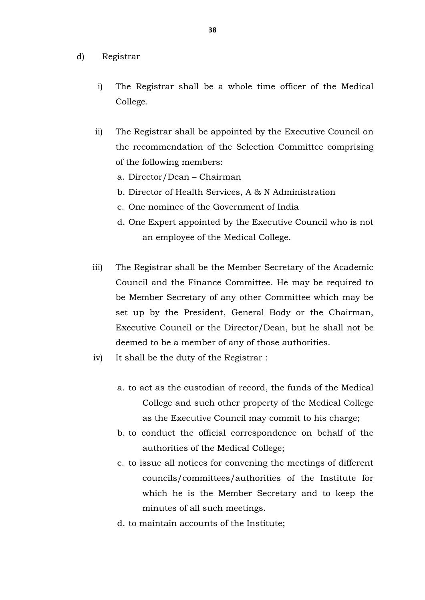- d) Registrar
	- i) The Registrar shall be a whole time officer of the Medical College.
	- ii) The Registrar shall be appointed by the Executive Council on the recommendation of the Selection Committee comprising of the following members:
		- a. Director/Dean Chairman
		- b. Director of Health Services, A & N Administration
		- c. One nominee of the Government of India
		- d. One Expert appointed by the Executive Council who is not an employee of the Medical College.
	- iii) The Registrar shall be the Member Secretary of the Academic Council and the Finance Committee. He may be required to be Member Secretary of any other Committee which may be set up by the President, General Body or the Chairman, Executive Council or the Director/Dean, but he shall not be deemed to be a member of any of those authorities.
	- iv) It shall be the duty of the Registrar :
		- a. to act as the custodian of record, the funds of the Medical College and such other property of the Medical College as the Executive Council may commit to his charge;
		- b. to conduct the official correspondence on behalf of the authorities of the Medical College;
		- c. to issue all notices for convening the meetings of different councils/committees/authorities of the Institute for which he is the Member Secretary and to keep the minutes of all such meetings.
		- d. to maintain accounts of the Institute;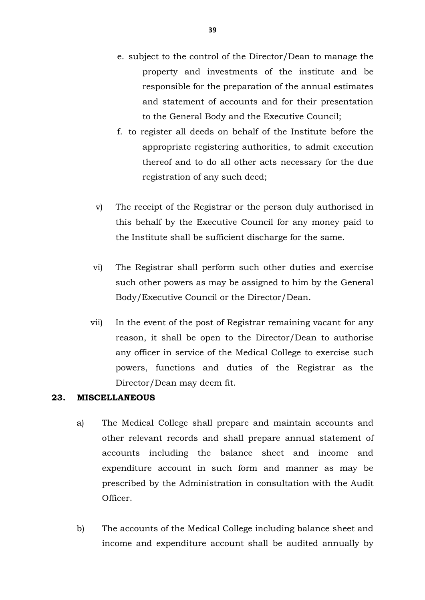- e. subject to the control of the Director/Dean to manage the property and investments of the institute and be responsible for the preparation of the annual estimates and statement of accounts and for their presentation to the General Body and the Executive Council;
- f. to register all deeds on behalf of the Institute before the appropriate registering authorities, to admit execution thereof and to do all other acts necessary for the due registration of any such deed;
- v) The receipt of the Registrar or the person duly authorised in this behalf by the Executive Council for any money paid to the Institute shall be sufficient discharge for the same.
- vi) The Registrar shall perform such other duties and exercise such other powers as may be assigned to him by the General Body/Executive Council or the Director/Dean.
- vii) In the event of the post of Registrar remaining vacant for any reason, it shall be open to the Director/Dean to authorise any officer in service of the Medical College to exercise such powers, functions and duties of the Registrar as the Director/Dean may deem fit.

# **23. MISCELLANEOUS**

- a) The Medical College shall prepare and maintain accounts and other relevant records and shall prepare annual statement of accounts including the balance sheet and income and expenditure account in such form and manner as may be prescribed by the Administration in consultation with the Audit Officer.
- b) The accounts of the Medical College including balance sheet and income and expenditure account shall be audited annually by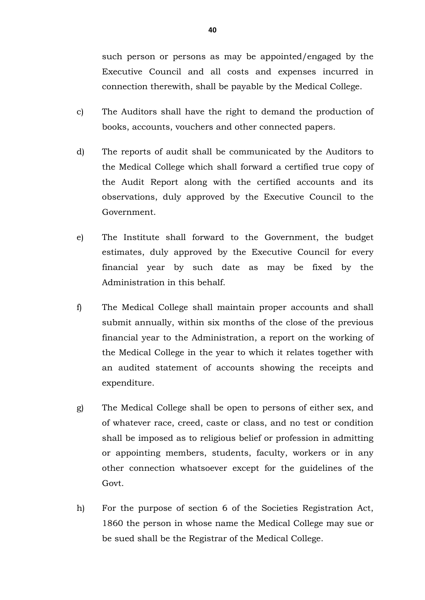such person or persons as may be appointed/engaged by the Executive Council and all costs and expenses incurred in connection therewith, shall be payable by the Medical College.

- c) The Auditors shall have the right to demand the production of books, accounts, vouchers and other connected papers.
- d) The reports of audit shall be communicated by the Auditors to the Medical College which shall forward a certified true copy of the Audit Report along with the certified accounts and its observations, duly approved by the Executive Council to the Government.
- e) The Institute shall forward to the Government, the budget estimates, duly approved by the Executive Council for every financial year by such date as may be fixed by the Administration in this behalf.
- f) The Medical College shall maintain proper accounts and shall submit annually, within six months of the close of the previous financial year to the Administration, a report on the working of the Medical College in the year to which it relates together with an audited statement of accounts showing the receipts and expenditure.
- g) The Medical College shall be open to persons of either sex, and of whatever race, creed, caste or class, and no test or condition shall be imposed as to religious belief or profession in admitting or appointing members, students, faculty, workers or in any other connection whatsoever except for the guidelines of the Govt.
- h) For the purpose of section 6 of the Societies Registration Act, 1860 the person in whose name the Medical College may sue or be sued shall be the Registrar of the Medical College.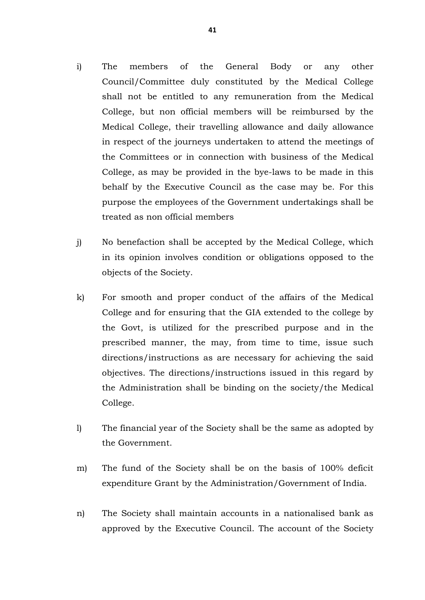- i) The members of the General Body or any other Council/Committee duly constituted by the Medical College shall not be entitled to any remuneration from the Medical College, but non official members will be reimbursed by the Medical College, their travelling allowance and daily allowance in respect of the journeys undertaken to attend the meetings of the Committees or in connection with business of the Medical College, as may be provided in the bye-laws to be made in this behalf by the Executive Council as the case may be. For this purpose the employees of the Government undertakings shall be treated as non official members
- j) No benefaction shall be accepted by the Medical College, which in its opinion involves condition or obligations opposed to the objects of the Society.
- k) For smooth and proper conduct of the affairs of the Medical College and for ensuring that the GIA extended to the college by the Govt, is utilized for the prescribed purpose and in the prescribed manner, the may, from time to time, issue such directions/instructions as are necessary for achieving the said objectives. The directions/instructions issued in this regard by the Administration shall be binding on the society/the Medical College.
- l) The financial year of the Society shall be the same as adopted by the Government.
- m) The fund of the Society shall be on the basis of 100% deficit expenditure Grant by the Administration/Government of India.
- n) The Society shall maintain accounts in a nationalised bank as approved by the Executive Council. The account of the Society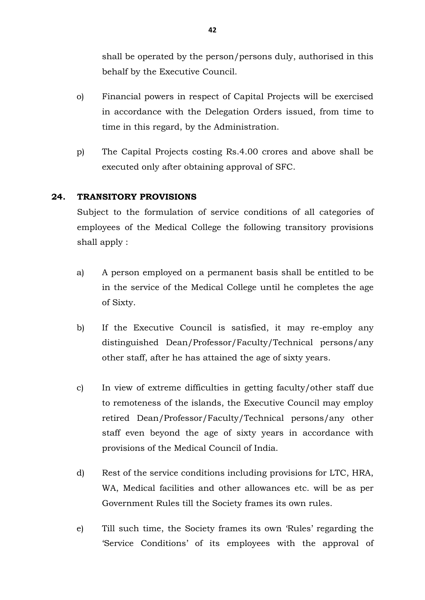shall be operated by the person/persons duly, authorised in this behalf by the Executive Council.

- o) Financial powers in respect of Capital Projects will be exercised in accordance with the Delegation Orders issued, from time to time in this regard, by the Administration.
- p) The Capital Projects costing Rs.4.00 crores and above shall be executed only after obtaining approval of SFC.

# **24. TRANSITORY PROVISIONS**

Subject to the formulation of service conditions of all categories of employees of the Medical College the following transitory provisions shall apply :

- a) A person employed on a permanent basis shall be entitled to be in the service of the Medical College until he completes the age of Sixty.
- b) If the Executive Council is satisfied, it may re-employ any distinguished Dean/Professor/Faculty/Technical persons/any other staff, after he has attained the age of sixty years.
- c) In view of extreme difficulties in getting faculty/other staff due to remoteness of the islands, the Executive Council may employ retired Dean/Professor/Faculty/Technical persons/any other staff even beyond the age of sixty years in accordance with provisions of the Medical Council of India.
- d) Rest of the service conditions including provisions for LTC, HRA, WA, Medical facilities and other allowances etc. will be as per Government Rules till the Society frames its own rules.
- e) Till such time, the Society frames its own 'Rules' regarding the 'Service Conditions' of its employees with the approval of